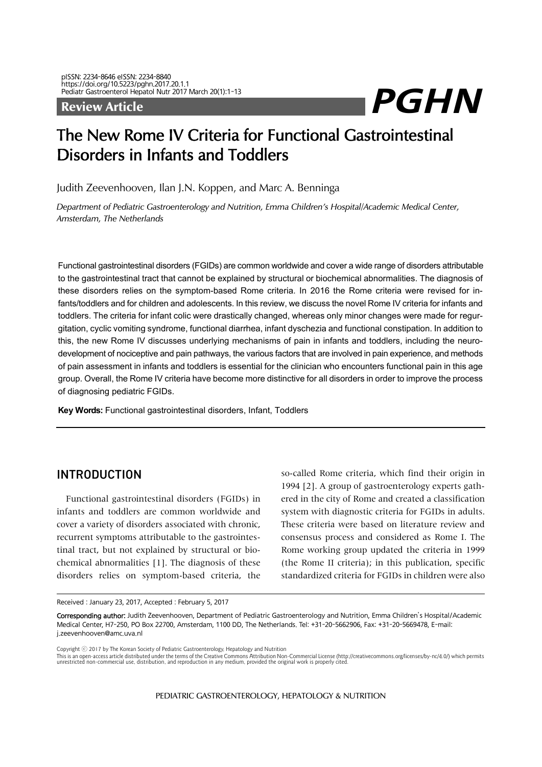# Pediatr Gastroenterol Hepatol Nutr 2017 March 20(1):1-13<br>Review Article

## The New Rome IV Criteria for Functional Gastrointestinal Disorders in Infants and Toddlers

Judith Zeevenhooven, Ilan J.N. Koppen, and Marc A. Benninga

*Department of Pediatric Gastroenterology and Nutrition, Emma Children's Hospital/Academic Medical Center, Amsterdam, The Netherlands*

Functional gastrointestinal disorders (FGIDs) are common worldwide and cover a wide range of disorders attributable to the gastrointestinal tract that cannot be explained by structural or biochemical abnormalities. The diagnosis of these disorders relies on the symptom-based Rome criteria. In 2016 the Rome criteria were revised for infants/toddlers and for children and adolescents. In this review, we discuss the novel Rome IV criteria for infants and toddlers. The criteria for infant colic were drastically changed, whereas only minor changes were made for regurgitation, cyclic vomiting syndrome, functional diarrhea, infant dyschezia and functional constipation. In addition to this, the new Rome IV discusses underlying mechanisms of pain in infants and toddlers, including the neurodevelopment of nociceptive and pain pathways, the various factors that are involved in pain experience, and methods of pain assessment in infants and toddlers is essential for the clinician who encounters functional pain in this age group. Overall, the Rome IV criteria have become more distinctive for all disorders in order to improve the process of diagnosing pediatric FGIDs.

**Key Words:** Functional gastrointestinal disorders, Infant, Toddlers

### INTRODUCTION

Functional gastrointestinal disorders (FGIDs) in infants and toddlers are common worldwide and cover a variety of disorders associated with chronic, recurrent symptoms attributable to the gastrointestinal tract, but not explained by structural or biochemical abnormalities [1]. The diagnosis of these disorders relies on symptom-based criteria, the

so-called Rome criteria, which find their origin in 1994 [2]. A group of gastroenterology experts gathered in the city of Rome and created a classification system with diagnostic criteria for FGIDs in adults. These criteria were based on literature review and consensus process and considered as Rome I. The Rome working group updated the criteria in 1999 (the Rome II criteria); in this publication, specific standardized criteria for FGIDs in children were also

Received: January 23, 2017, Accepted: February 5, 2017

Corresponding author: Judith Zeevenhooven, Department of Pediatric Gastroenterology and Nutrition, Emma Children's Hospital/Academic Medical Center, H7-250, PO Box 22700, Amsterdam, 1100 DD, The Netherlands. Tel: +31-20-5662906, Fax: +31-20-5669478, E-mail: j.zeevenhooven@amc.uva.nl

Copyright ⓒ 2017 by The Korean Society of Pediatric Gastroenterology, Hepatology and Nutrition

This is an open-access article distributed under the terms of the Creative Commons Attribution Non-Commercial License (http://creativecommons.org/licenses/by-nc/4.0/) which permits unrestricted non-commercial use, distribu

PEDIATRIC GASTROENTEROLOGY, HEPATOLOGY & NUTRITION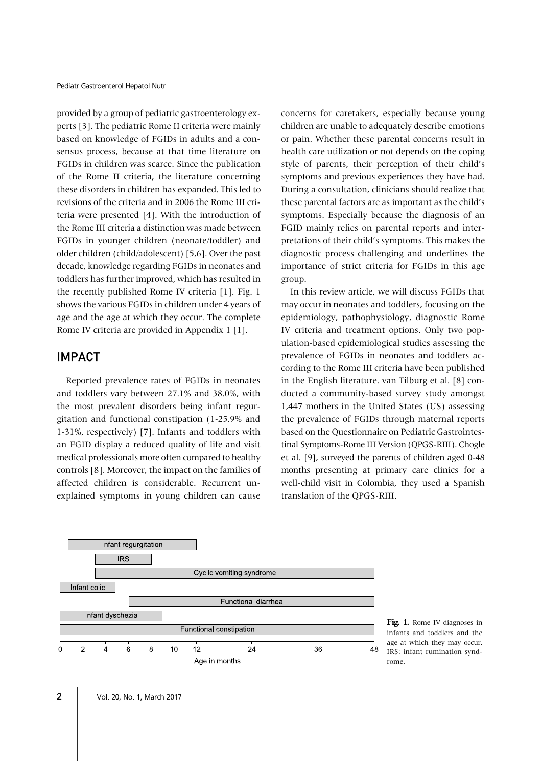provided by a group of pediatric gastroenterology experts [3]. The pediatric Rome II criteria were mainly based on knowledge of FGIDs in adults and a consensus process, because at that time literature on FGIDs in children was scarce. Since the publication of the Rome II criteria, the literature concerning these disorders in children has expanded. This led to revisions of the criteria and in 2006 the Rome III criteria were presented [4]. With the introduction of the Rome III criteria a distinction was made between FGIDs in younger children (neonate/toddler) and older children (child/adolescent) [5,6]. Over the past decade, knowledge regarding FGIDs in neonates and toddlers has further improved, which has resulted in the recently published Rome IV criteria [1]. Fig. 1 shows the various FGIDs in children under 4 years of age and the age at which they occur. The complete Rome IV criteria are provided in Appendix 1 [1].

### IMPACT

Reported prevalence rates of FGIDs in neonates and toddlers vary between 27.1% and 38.0%, with the most prevalent disorders being infant regurgitation and functional constipation (1-25.9% and 1-31%, respectively) [7]. Infants and toddlers with an FGID display a reduced quality of life and visit medical professionals more often compared to healthy controls [8]. Moreover, the impact on the families of affected children is considerable. Recurrent unexplained symptoms in young children can cause

concerns for caretakers, especially because young children are unable to adequately describe emotions or pain. Whether these parental concerns result in health care utilization or not depends on the coping style of parents, their perception of their child's symptoms and previous experiences they have had. During a consultation, clinicians should realize that these parental factors are as important as the child's symptoms. Especially because the diagnosis of an FGID mainly relies on parental reports and interpretations of their child's symptoms. This makes the diagnostic process challenging and underlines the importance of strict criteria for FGIDs in this age group.

In this review article, we will discuss FGIDs that may occur in neonates and toddlers, focusing on the epidemiology, pathophysiology, diagnostic Rome IV criteria and treatment options. Only two population-based epidemiological studies assessing the prevalence of FGIDs in neonates and toddlers according to the Rome III criteria have been published in the English literature. van Tilburg et al. [8] conducted a community-based survey study amongst 1,447 mothers in the United States (US) assessing the prevalence of FGIDs through maternal reports based on the Questionnaire on Pediatric Gastrointestinal Symptoms-Rome III Version (QPGS-RIII). Chogle et al. [9], surveyed the parents of children aged 0-48 months presenting at primary care clinics for a well-child visit in Colombia, they used a Spanish translation of the QPGS-RIII.



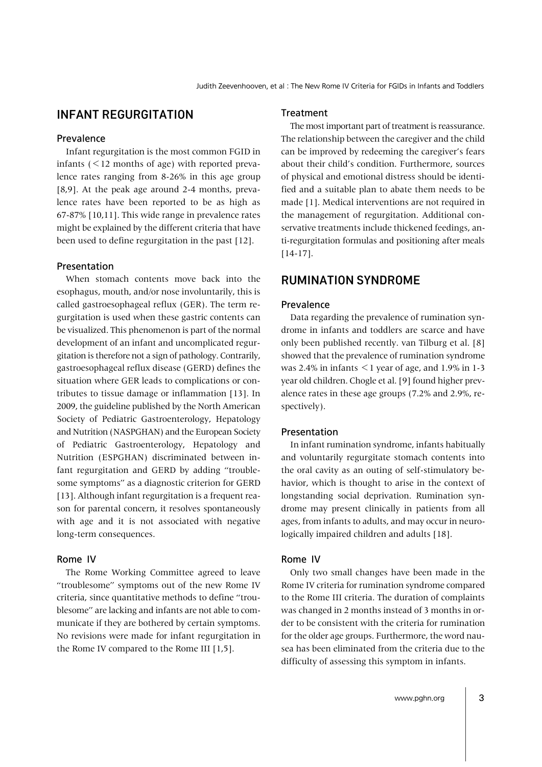### INFANT REGURGITATION

### Prevalence

Infant regurgitation is the most common FGID in infants  $(< 12$  months of age) with reported prevalence rates ranging from 8-26% in this age group [8,9]. At the peak age around 2-4 months, prevalence rates have been reported to be as high as 67-87% [10,11]. This wide range in prevalence rates might be explained by the different criteria that have been used to define regurgitation in the past [12].

### Presentation

When stomach contents move back into the esophagus, mouth, and/or nose involuntarily, this is called gastroesophageal reflux (GER). The term regurgitation is used when these gastric contents can be visualized. This phenomenon is part of the normal development of an infant and uncomplicated regurgitation is therefore not a sign of pathology. Contrarily, gastroesophageal reflux disease (GERD) defines the situation where GER leads to complications or contributes to tissue damage or inflammation [13]. In 2009, the guideline published by the North American Society of Pediatric Gastroenterology, Hepatology and Nutrition (NASPGHAN) and the European Society of Pediatric Gastroenterology, Hepatology and Nutrition (ESPGHAN) discriminated between infant regurgitation and GERD by adding "troublesome symptoms" as a diagnostic criterion for GERD [13]. Although infant regurgitation is a frequent reason for parental concern, it resolves spontaneously with age and it is not associated with negative long-term consequences.

### Rome IV

The Rome Working Committee agreed to leave "troublesome" symptoms out of the new Rome IV criteria, since quantitative methods to define "troublesome" are lacking and infants are not able to communicate if they are bothered by certain symptoms. No revisions were made for infant regurgitation in the Rome IV compared to the Rome III [1,5].

#### Treatment

The most important part of treatment is reassurance. The relationship between the caregiver and the child can be improved by redeeming the caregiver's fears about their child's condition. Furthermore, sources of physical and emotional distress should be identified and a suitable plan to abate them needs to be made [1]. Medical interventions are not required in the management of regurgitation. Additional conservative treatments include thickened feedings, anti-regurgitation formulas and positioning after meals [14-17].

### RUMINATION SYNDROME

#### Prevalence

Data regarding the prevalence of rumination syndrome in infants and toddlers are scarce and have only been published recently. van Tilburg et al. [8] showed that the prevalence of rumination syndrome was 2.4% in infants  $\leq$  1 year of age, and 1.9% in 1-3 year old children. Chogle et al. [9] found higher prevalence rates in these age groups (7.2% and 2.9%, respectively).

#### Presentation

In infant rumination syndrome, infants habitually and voluntarily regurgitate stomach contents into the oral cavity as an outing of self-stimulatory behavior, which is thought to arise in the context of longstanding social deprivation. Rumination syndrome may present clinically in patients from all ages, from infants to adults, and may occur in neurologically impaired children and adults [18].

### Rome IV

Only two small changes have been made in the Rome IV criteria for rumination syndrome compared to the Rome III criteria. The duration of complaints was changed in 2 months instead of 3 months in order to be consistent with the criteria for rumination for the older age groups. Furthermore, the word nausea has been eliminated from the criteria due to the difficulty of assessing this symptom in infants.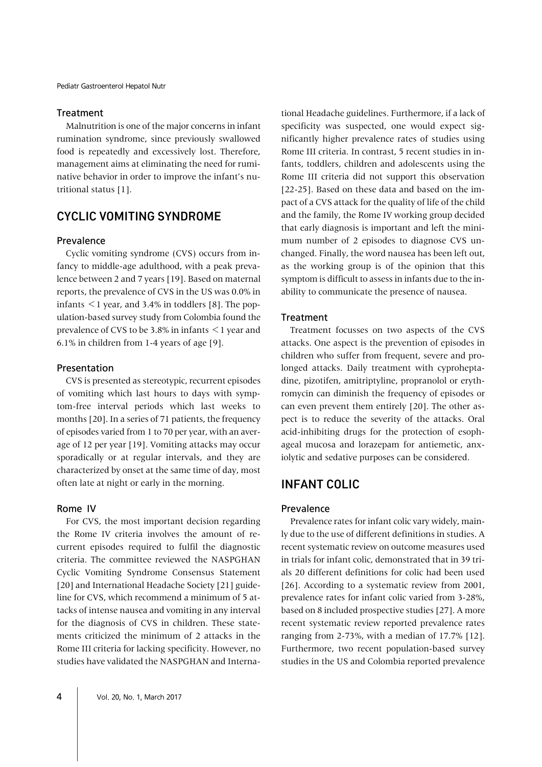### Treatment

Malnutrition is one of the major concerns in infant rumination syndrome, since previously swallowed food is repeatedly and excessively lost. Therefore, management aims at eliminating the need for ruminative behavior in order to improve the infant's nutritional status [1].

### CYCLIC VOMITING SYNDROME

### Prevalence

Cyclic vomiting syndrome (CVS) occurs from infancy to middle-age adulthood, with a peak prevalence between 2 and 7 years [19]. Based on maternal reports, the prevalence of CVS in the US was 0.0% in infants  $\leq$  1 year, and 3.4% in toddlers [8]. The population-based survey study from Colombia found the prevalence of CVS to be  $3.8\%$  in infants  $\leq 1$  year and 6.1% in children from 1-4 years of age [9].

### Presentation

CVS is presented as stereotypic, recurrent episodes of vomiting which last hours to days with symptom-free interval periods which last weeks to months [20]. In a series of 71 patients, the frequency of episodes varied from 1 to 70 per year, with an average of 12 per year [19]. Vomiting attacks may occur sporadically or at regular intervals, and they are characterized by onset at the same time of day, most often late at night or early in the morning.

### Rome IV

For CVS, the most important decision regarding the Rome IV criteria involves the amount of recurrent episodes required to fulfil the diagnostic criteria. The committee reviewed the NASPGHAN Cyclic Vomiting Syndrome Consensus Statement [20] and International Headache Society [21] guideline for CVS, which recommend a minimum of 5 attacks of intense nausea and vomiting in any interval for the diagnosis of CVS in children. These statements criticized the minimum of 2 attacks in the Rome III criteria for lacking specificity. However, no studies have validated the NASPGHAN and Interna-

specificity was suspected, one would expect significantly higher prevalence rates of studies using Rome III criteria. In contrast, 5 recent studies in infants, toddlers, children and adolescents using the Rome III criteria did not support this observation [22-25]. Based on these data and based on the impact of a CVS attack for the quality of life of the child and the family, the Rome IV working group decided that early diagnosis is important and left the minimum number of 2 episodes to diagnose CVS unchanged. Finally, the word nausea has been left out, as the working group is of the opinion that this symptom is difficult to assess in infants due to the inability to communicate the presence of nausea.

tional Headache guidelines. Furthermore, if a lack of

### **Treatment**

Treatment focusses on two aspects of the CVS attacks. One aspect is the prevention of episodes in children who suffer from frequent, severe and prolonged attacks. Daily treatment with cyproheptadine, pizotifen, amitriptyline, propranolol or erythromycin can diminish the frequency of episodes or can even prevent them entirely [20]. The other aspect is to reduce the severity of the attacks. Oral acid-inhibiting drugs for the protection of esophageal mucosa and lorazepam for antiemetic, anxiolytic and sedative purposes can be considered.

### INFANT COLIC

### Prevalence

Prevalence rates for infant colic vary widely, mainly due to the use of different definitions in studies. A recent systematic review on outcome measures used in trials for infant colic, demonstrated that in 39 trials 20 different definitions for colic had been used [26]. According to a systematic review from 2001, prevalence rates for infant colic varied from 3-28%, based on 8 included prospective studies [27]. A more recent systematic review reported prevalence rates ranging from 2-73%, with a median of 17.7% [12]. Furthermore, two recent population-based survey studies in the US and Colombia reported prevalence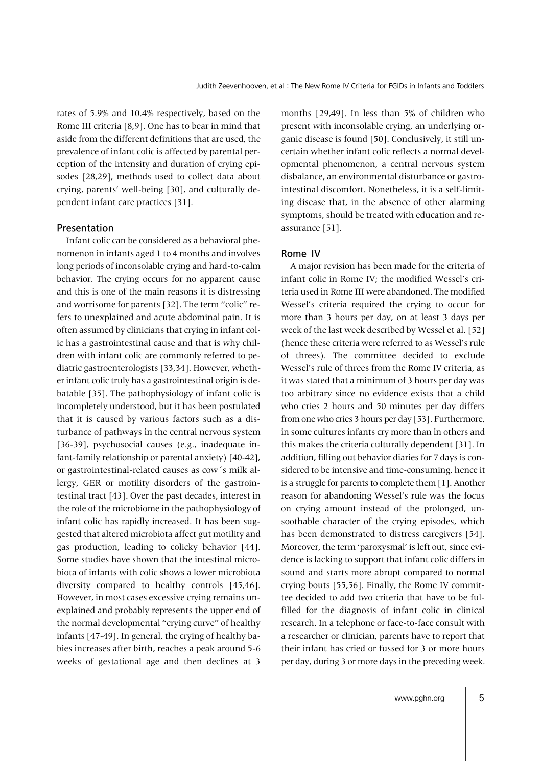rates of 5.9% and 10.4% respectively, based on the Rome III criteria [8,9]. One has to bear in mind that aside from the different definitions that are used, the prevalence of infant colic is affected by parental perception of the intensity and duration of crying episodes [28,29], methods used to collect data about crying, parents' well-being [30], and culturally dependent infant care practices [31].

### Presentation

Infant colic can be considered as a behavioral phenomenon in infants aged 1 to 4 months and involves long periods of inconsolable crying and hard-to-calm behavior. The crying occurs for no apparent cause and this is one of the main reasons it is distressing and worrisome for parents [32]. The term "colic" refers to unexplained and acute abdominal pain. It is often assumed by clinicians that crying in infant colic has a gastrointestinal cause and that is why children with infant colic are commonly referred to pediatric gastroenterologists [33,34]. However, whether infant colic truly has a gastrointestinal origin is debatable [35]. The pathophysiology of infant colic is incompletely understood, but it has been postulated that it is caused by various factors such as a disturbance of pathways in the central nervous system [36-39], psychosocial causes (e.g., inadequate infant-family relationship or parental anxiety) [40-42], or gastrointestinal-related causes as cow´s milk allergy, GER or motility disorders of the gastrointestinal tract [43]. Over the past decades, interest in the role of the microbiome in the pathophysiology of infant colic has rapidly increased. It has been suggested that altered microbiota affect gut motility and gas production, leading to colicky behavior [44]. Some studies have shown that the intestinal microbiota of infants with colic shows a lower microbiota diversity compared to healthy controls [45,46]. However, in most cases excessive crying remains unexplained and probably represents the upper end of the normal developmental "crying curve" of healthy infants [47-49]. In general, the crying of healthy babies increases after birth, reaches a peak around 5-6 weeks of gestational age and then declines at 3

months [29,49]. In less than 5% of children who present with inconsolable crying, an underlying organic disease is found [50]. Conclusively, it still uncertain whether infant colic reflects a normal developmental phenomenon, a central nervous system disbalance, an environmental disturbance or gastrointestinal discomfort. Nonetheless, it is a self-limiting disease that, in the absence of other alarming symptoms, should be treated with education and reassurance [51].

### Rome IV

A major revision has been made for the criteria of infant colic in Rome IV; the modified Wessel's criteria used in Rome III were abandoned. The modified Wessel's criteria required the crying to occur for more than 3 hours per day, on at least 3 days per week of the last week described by Wessel et al. [52] (hence these criteria were referred to as Wessel's rule of threes). The committee decided to exclude Wessel's rule of threes from the Rome IV criteria, as it was stated that a minimum of 3 hours per day was too arbitrary since no evidence exists that a child who cries 2 hours and 50 minutes per day differs from one who cries 3 hours per day [53]. Furthermore, in some cultures infants cry more than in others and this makes the criteria culturally dependent [31]. In addition, filling out behavior diaries for 7 days is considered to be intensive and time-consuming, hence it is a struggle for parents to complete them [1]. Another reason for abandoning Wessel's rule was the focus on crying amount instead of the prolonged, unsoothable character of the crying episodes, which has been demonstrated to distress caregivers [54]. Moreover, the term 'paroxysmal' is left out, since evidence is lacking to support that infant colic differs in sound and starts more abrupt compared to normal crying bouts [55,56]. Finally, the Rome IV committee decided to add two criteria that have to be fulfilled for the diagnosis of infant colic in clinical research. In a telephone or face-to-face consult with a researcher or clinician, parents have to report that their infant has cried or fussed for 3 or more hours per day, during 3 or more days in the preceding week.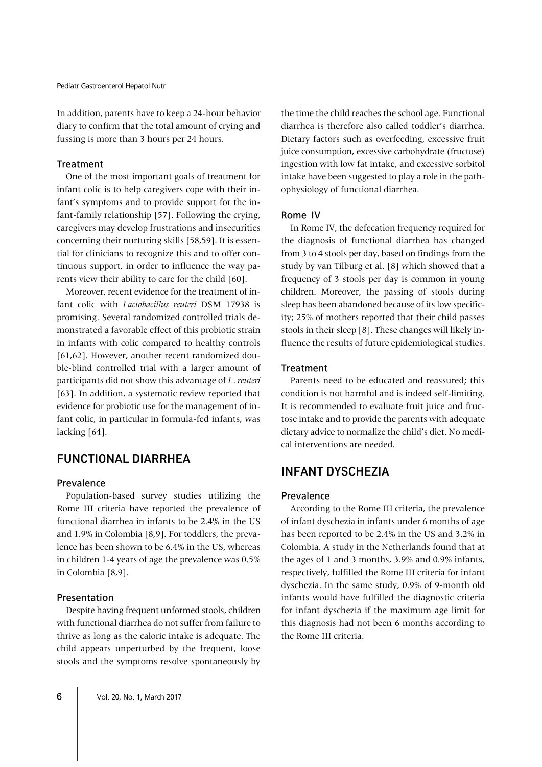In addition, parents have to keep a 24-hour behavior diary to confirm that the total amount of crying and fussing is more than 3 hours per 24 hours.

### **Treatment**

One of the most important goals of treatment for infant colic is to help caregivers cope with their infant's symptoms and to provide support for the infant-family relationship [57]. Following the crying, caregivers may develop frustrations and insecurities concerning their nurturing skills [58,59]. It is essential for clinicians to recognize this and to offer continuous support, in order to influence the way parents view their ability to care for the child [60].

Moreover, recent evidence for the treatment of infant colic with *Lactobacillus reuteri* DSM 17938 is promising. Several randomized controlled trials demonstrated a favorable effect of this probiotic strain in infants with colic compared to healthy controls [61,62]. However, another recent randomized double-blind controlled trial with a larger amount of participants did not show this advantage of *L*. *reuteri*  [63]. In addition, a systematic review reported that evidence for probiotic use for the management of infant colic, in particular in formula-fed infants, was lacking [64].

### FUNCTIONAL DIARRHEA

### Prevalence

Population-based survey studies utilizing the Rome III criteria have reported the prevalence of functional diarrhea in infants to be 2.4% in the US and 1.9% in Colombia [8,9]. For toddlers, the prevalence has been shown to be 6.4% in the US, whereas in children 1-4 years of age the prevalence was 0.5% in Colombia [8,9].

### Presentation

Despite having frequent unformed stools, children with functional diarrhea do not suffer from failure to thrive as long as the caloric intake is adequate. The child appears unperturbed by the frequent, loose stools and the symptoms resolve spontaneously by

the time the child reaches the school age. Functional diarrhea is therefore also called toddler's diarrhea. Dietary factors such as overfeeding, excessive fruit juice consumption, excessive carbohydrate (fructose) ingestion with low fat intake, and excessive sorbitol intake have been suggested to play a role in the pathophysiology of functional diarrhea.

### Rome IV

In Rome IV, the defecation frequency required for the diagnosis of functional diarrhea has changed from 3 to 4 stools per day, based on findings from the study by van Tilburg et al. [8] which showed that a frequency of 3 stools per day is common in young children. Moreover, the passing of stools during sleep has been abandoned because of its low specificity; 25% of mothers reported that their child passes stools in their sleep [8]. These changes will likely influence the results of future epidemiological studies.

### **Treatment**

Parents need to be educated and reassured; this condition is not harmful and is indeed self-limiting. It is recommended to evaluate fruit juice and fructose intake and to provide the parents with adequate dietary advice to normalize the child's diet. No medical interventions are needed.

### INFANT DYSCHEZIA

### Prevalence

According to the Rome III criteria, the prevalence of infant dyschezia in infants under 6 months of age has been reported to be 2.4% in the US and 3.2% in Colombia. A study in the Netherlands found that at the ages of 1 and 3 months, 3.9% and 0.9% infants, respectively, fulfilled the Rome III criteria for infant dyschezia. In the same study, 0.9% of 9-month old infants would have fulfilled the diagnostic criteria for infant dyschezia if the maximum age limit for this diagnosis had not been 6 months according to the Rome III criteria.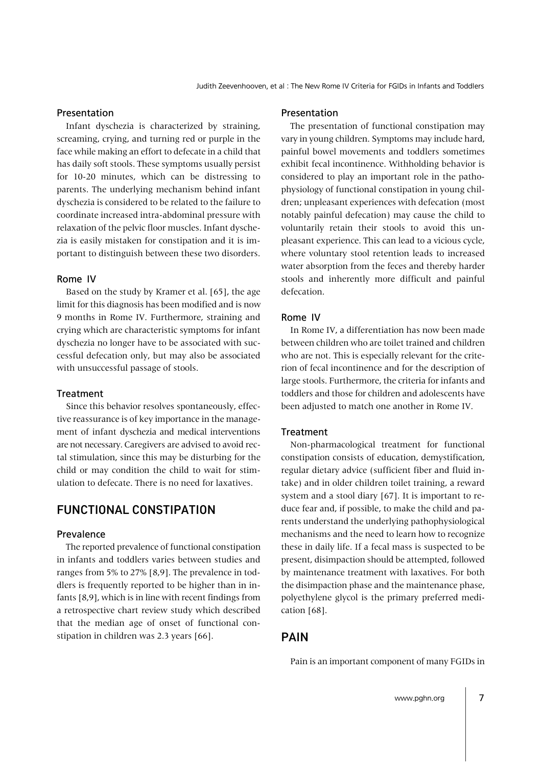### Presentation

Infant dyschezia is characterized by straining, screaming, crying, and turning red or purple in the face while making an effort to defecate in a child that has daily soft stools. These symptoms usually persist for 10-20 minutes, which can be distressing to parents. The underlying mechanism behind infant dyschezia is considered to be related to the failure to coordinate increased intra-abdominal pressure with relaxation of the pelvic floor muscles. Infant dyschezia is easily mistaken for constipation and it is important to distinguish between these two disorders.

### Rome IV

Based on the study by Kramer et al. [65], the age limit for this diagnosis has been modified and is now 9 months in Rome IV. Furthermore, straining and crying which are characteristic symptoms for infant dyschezia no longer have to be associated with successful defecation only, but may also be associated with unsuccessful passage of stools.

### **Treatment**

Since this behavior resolves spontaneously, effective reassurance is of key importance in the management of infant dyschezia and medical interventions are not necessary. Caregivers are advised to avoid rectal stimulation, since this may be disturbing for the child or may condition the child to wait for stimulation to defecate. There is no need for laxatives.

### FUNCTIONAL CONSTIPATION

### Prevalence

The reported prevalence of functional constipation in infants and toddlers varies between studies and ranges from 5% to 27% [8,9]. The prevalence in toddlers is frequently reported to be higher than in infants [8,9], which is in line with recent findings from a retrospective chart review study which described that the median age of onset of functional constipation in children was 2.3 years [66].

#### Presentation

The presentation of functional constipation may vary in young children. Symptoms may include hard, painful bowel movements and toddlers sometimes exhibit fecal incontinence. Withholding behavior is considered to play an important role in the pathophysiology of functional constipation in young children; unpleasant experiences with defecation (most notably painful defecation) may cause the child to voluntarily retain their stools to avoid this unpleasant experience. This can lead to a vicious cycle, where voluntary stool retention leads to increased water absorption from the feces and thereby harder stools and inherently more difficult and painful defecation.

### Rome IV

In Rome IV, a differentiation has now been made between children who are toilet trained and children who are not. This is especially relevant for the criterion of fecal incontinence and for the description of large stools. Furthermore, the criteria for infants and toddlers and those for children and adolescents have been adjusted to match one another in Rome IV.

#### Treatment

Non-pharmacological treatment for functional constipation consists of education, demystification, regular dietary advice (sufficient fiber and fluid intake) and in older children toilet training, a reward system and a stool diary [67]. It is important to reduce fear and, if possible, to make the child and parents understand the underlying pathophysiological mechanisms and the need to learn how to recognize these in daily life. If a fecal mass is suspected to be present, disimpaction should be attempted, followed by maintenance treatment with laxatives. For both the disimpaction phase and the maintenance phase, polyethylene glycol is the primary preferred medication [68].

### PAIN

Pain is an important component of many FGIDs in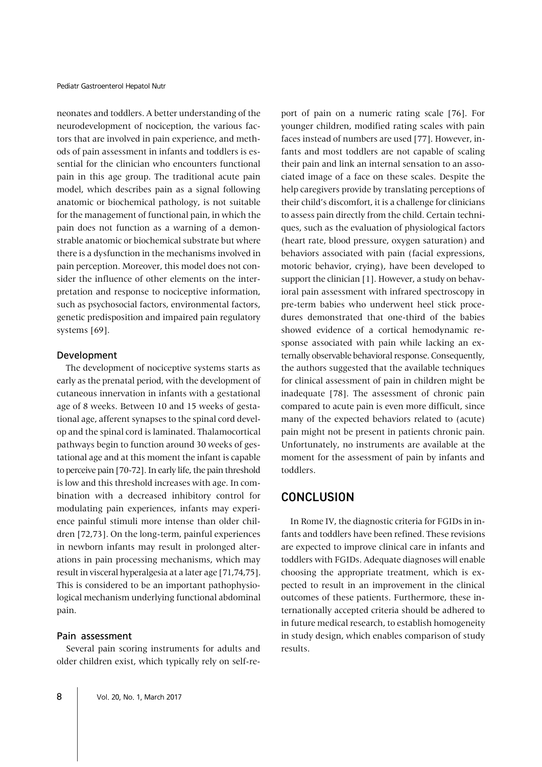neonates and toddlers. A better understanding of the neurodevelopment of nociception, the various factors that are involved in pain experience, and methods of pain assessment in infants and toddlers is essential for the clinician who encounters functional pain in this age group. The traditional acute pain model, which describes pain as a signal following anatomic or biochemical pathology, is not suitable for the management of functional pain, in which the pain does not function as a warning of a demonstrable anatomic or biochemical substrate but where there is a dysfunction in the mechanisms involved in pain perception. Moreover, this model does not consider the influence of other elements on the interpretation and response to nociceptive information, such as psychosocial factors, environmental factors, genetic predisposition and impaired pain regulatory systems [69].

#### Development

The development of nociceptive systems starts as early as the prenatal period, with the development of cutaneous innervation in infants with a gestational age of 8 weeks. Between 10 and 15 weeks of gestational age, afferent synapses to the spinal cord develop and the spinal cord is laminated. Thalamocortical pathways begin to function around 30 weeks of gestational age and at this moment the infant is capable to perceive pain [70-72]. In early life, the pain threshold is low and this threshold increases with age. In combination with a decreased inhibitory control for modulating pain experiences, infants may experience painful stimuli more intense than older children [72,73]. On the long-term, painful experiences in newborn infants may result in prolonged alterations in pain processing mechanisms, which may result in visceral hyperalgesia at a later age [71,74,75]. This is considered to be an important pathophysiological mechanism underlying functional abdominal pain.

### Pain assessment

Several pain scoring instruments for adults and older children exist, which typically rely on self-re-

port of pain on a numeric rating scale [76]. For younger children, modified rating scales with pain faces instead of numbers are used [77]. However, infants and most toddlers are not capable of scaling their pain and link an internal sensation to an associated image of a face on these scales. Despite the help caregivers provide by translating perceptions of their child's discomfort, it is a challenge for clinicians to assess pain directly from the child. Certain techniques, such as the evaluation of physiological factors (heart rate, blood pressure, oxygen saturation) and behaviors associated with pain (facial expressions, motoric behavior, crying), have been developed to support the clinician [1]. However, a study on behavioral pain assessment with infrared spectroscopy in pre-term babies who underwent heel stick procedures demonstrated that one-third of the babies showed evidence of a cortical hemodynamic response associated with pain while lacking an externally observable behavioral response. Consequently, the authors suggested that the available techniques for clinical assessment of pain in children might be inadequate [78]. The assessment of chronic pain compared to acute pain is even more difficult, since many of the expected behaviors related to (acute) pain might not be present in patients chronic pain. Unfortunately, no instruments are available at the moment for the assessment of pain by infants and toddlers.

### **CONCLUSION**

In Rome IV, the diagnostic criteria for FGIDs in infants and toddlers have been refined. These revisions are expected to improve clinical care in infants and toddlers with FGIDs. Adequate diagnoses will enable choosing the appropriate treatment, which is expected to result in an improvement in the clinical outcomes of these patients. Furthermore, these internationally accepted criteria should be adhered to in future medical research, to establish homogeneity in study design, which enables comparison of study results.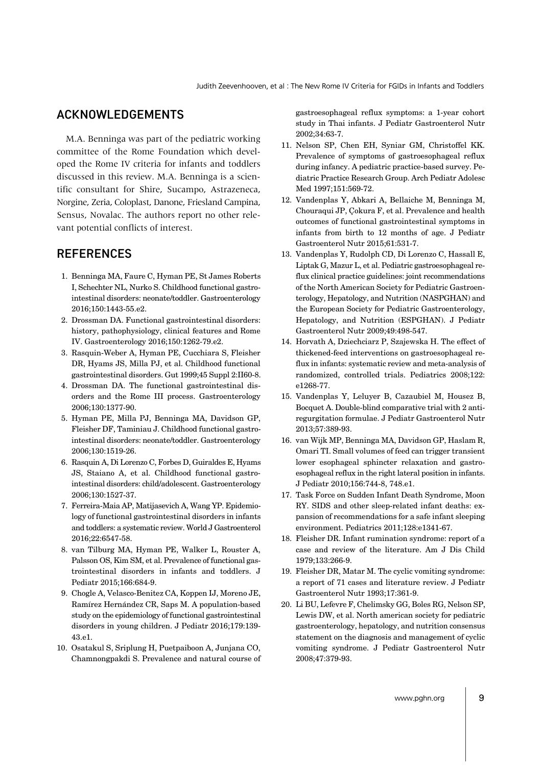### ACKNOWLEDGEMENTS

M.A. Benninga was part of the pediatric working committee of the Rome Foundation which developed the Rome IV criteria for infants and toddlers discussed in this review. M.A. Benninga is a scientific consultant for Shire, Sucampo, Astrazeneca, Norgine, Zeria, Coloplast, Danone, Friesland Campina, Sensus, Novalac. The authors report no other relevant potential conflicts of interest.

### **REFERENCES**

- 1. Benninga MA, Faure C, Hyman PE, St James Roberts I, Schechter NL, Nurko S. Childhood functional gastrointestinal disorders: neonate/toddler. Gastroenterology 2016;150:1443-55.e2.
- 2. Drossman DA. Functional gastrointestinal disorders: history, pathophysiology, clinical features and Rome IV. Gastroenterology 2016;150:1262-79.e2.
- 3. Rasquin-Weber A, Hyman PE, Cucchiara S, Fleisher DR, Hyams JS, Milla PJ, et al. Childhood functional gastrointestinal disorders. Gut 1999;45 Suppl 2:II60-8.
- 4. Drossman DA. The functional gastrointestinal disorders and the Rome III process. Gastroenterology 2006;130:1377-90.
- 5. Hyman PE, Milla PJ, Benninga MA, Davidson GP, Fleisher DF, Taminiau J. Childhood functional gastrointestinal disorders: neonate/toddler. Gastroenterology 2006;130:1519-26.
- 6. Rasquin A, Di Lorenzo C, Forbes D, Guiraldes E, Hyams JS, Staiano A, et al. Childhood functional gastrointestinal disorders: child/adolescent. Gastroenterology 2006;130:1527-37.
- 7. Ferreira-Maia AP, Matijasevich A, Wang YP. Epidemiology of functional gastrointestinal disorders in infants and toddlers: a systematic review. World J Gastroenterol 2016;22:6547-58.
- 8. van Tilburg MA, Hyman PE, Walker L, Rouster A, Palsson OS, Kim SM, et al. Prevalence of functional gastrointestinal disorders in infants and toddlers. J Pediatr 2015;166:684-9.
- 9. Chogle A, Velasco-Benitez CA, Koppen IJ, Moreno JE, Ramírez Hernández CR, Saps M. A population-based study on the epidemiology of functional gastrointestinal disorders in young children. J Pediatr 2016;179:139- 43.e1.
- 10. Osatakul S, Sriplung H, Puetpaiboon A, Junjana CO, Chamnongpakdi S. Prevalence and natural course of

gastroesophageal reflux symptoms: a 1-year cohort study in Thai infants. J Pediatr Gastroenterol Nutr 2002;34:63-7.

- 11. Nelson SP, Chen EH, Syniar GM, Christoffel KK. Prevalence of symptoms of gastroesophageal reflux during infancy. A pediatric practice-based survey. Pediatric Practice Research Group. Arch Pediatr Adolesc Med 1997;151:569-72.
- 12. Vandenplas Y, Abkari A, Bellaiche M, Benninga M, Chouraqui JP, Çokura F, et al. Prevalence and health outcomes of functional gastrointestinal symptoms in infants from birth to 12 months of age. J Pediatr Gastroenterol Nutr 2015;61:531-7.
- 13. Vandenplas Y, Rudolph CD, Di Lorenzo C, Hassall E, Liptak G, Mazur L, et al. Pediatric gastroesophageal reflux clinical practice guidelines: joint recommendations of the North American Society for Pediatric Gastroenterology, Hepatology, and Nutrition (NASPGHAN) and the European Society for Pediatric Gastroenterology, Hepatology, and Nutrition (ESPGHAN). J Pediatr Gastroenterol Nutr 2009;49:498-547.
- 14. Horvath A, Dziechciarz P, Szajewska H. The effect of thickened-feed interventions on gastroesophageal reflux in infants: systematic review and meta-analysis of randomized, controlled trials. Pediatrics 2008;122: e1268-77.
- 15. Vandenplas Y, Leluyer B, Cazaubiel M, Housez B, Bocquet A. Double-blind comparative trial with 2 antiregurgitation formulae. J Pediatr Gastroenterol Nutr 2013;57:389-93.
- 16. van Wijk MP, Benninga MA, Davidson GP, Haslam R, Omari TI. Small volumes of feed can trigger transient lower esophageal sphincter relaxation and gastroesophageal reflux in the right lateral position in infants. J Pediatr 2010;156:744-8, 748.e1.
- 17. Task Force on Sudden Infant Death Syndrome, Moon RY. SIDS and other sleep-related infant deaths: expansion of recommendations for a safe infant sleeping environment. Pediatrics 2011;128:e1341-67.
- 18. Fleisher DR. Infant rumination syndrome: report of a case and review of the literature. Am J Dis Child 1979;133:266-9.
- 19. Fleisher DR, Matar M. The cyclic vomiting syndrome: a report of 71 cases and literature review. J Pediatr Gastroenterol Nutr 1993;17:361-9.
- 20. Li BU, Lefevre F, Chelimsky GG, Boles RG, Nelson SP, Lewis DW, et al. North american society for pediatric gastroenterology, hepatology, and nutrition consensus statement on the diagnosis and management of cyclic vomiting syndrome. J Pediatr Gastroenterol Nutr 2008;47:379-93.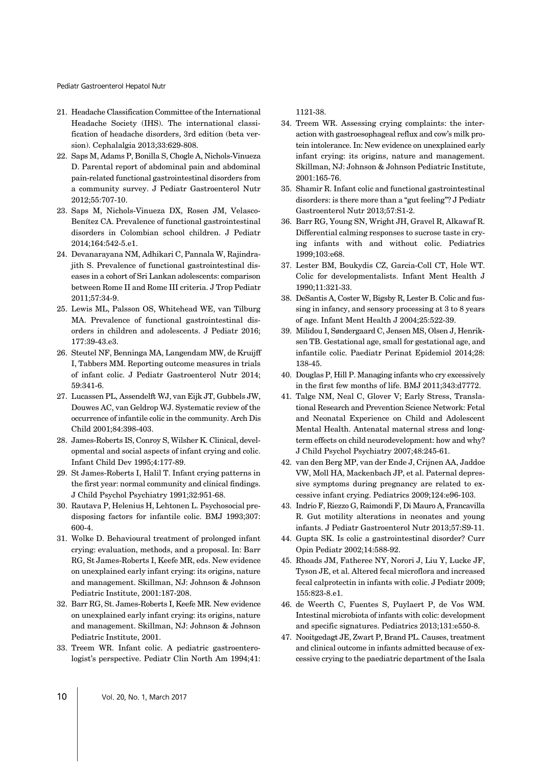Pediatr Gastroenterol Hepatol Nutr

- 21. Headache Classification Committee of the International Headache Society (IHS). The international classification of headache disorders, 3rd edition (beta version). Cephalalgia 2013;33:629-808.
- 22. Saps M, Adams P, Bonilla S, Chogle A, Nichols-Vinueza D. Parental report of abdominal pain and abdominal pain-related functional gastrointestinal disorders from a community survey. J Pediatr Gastroenterol Nutr 2012;55:707-10.
- 23. Saps M, Nichols-Vinueza DX, Rosen JM, Velasco-Benítez CA. Prevalence of functional gastrointestinal disorders in Colombian school children. J Pediatr 2014;164:542-5.e1.
- 24. Devanarayana NM, Adhikari C, Pannala W, Rajindrajith S. Prevalence of functional gastrointestinal diseases in a cohort of Sri Lankan adolescents: comparison between Rome II and Rome III criteria. J Trop Pediatr 2011;57:34-9.
- 25. Lewis ML, Palsson OS, Whitehead WE, van Tilburg MA. Prevalence of functional gastrointestinal disorders in children and adolescents. J Pediatr 2016; 177:39-43.e3.
- 26. Steutel NF, Benninga MA, Langendam MW, de Kruijff I, Tabbers MM. Reporting outcome measures in trials of infant colic. J Pediatr Gastroenterol Nutr 2014; 59:341-6.
- 27. Lucassen PL, Assendelft WJ, van Eijk JT, Gubbels JW, Douwes AC, van Geldrop WJ. Systematic review of the occurrence of infantile colic in the community. Arch Dis Child 2001;84:398-403.
- 28. James-Roberts IS, Conroy S, Wilsher K. Clinical, developmental and social aspects of infant crying and colic. Infant Child Dev 1995;4:177-89.
- 29. St James-Roberts I, Halil T. Infant crying patterns in the first year: normal community and clinical findings. J Child Psychol Psychiatry 1991;32:951-68.
- 30. Rautava P, Helenius H, Lehtonen L. Psychosocial predisposing factors for infantile colic. BMJ 1993;307: 600-4.
- 31. Wolke D. Behavioural treatment of prolonged infant crying: evaluation, methods, and a proposal. In: Barr RG, St James-Roberts I, Keefe MR, eds. New evidence on unexplained early infant crying: its origins, nature and management. Skillman, NJ: Johnson & Johnson Pediatric Institute, 2001:187-208.
- 32. Barr RG, St. James-Roberts I, Keefe MR. New evidence on unexplained early infant crying: its origins, nature and management. Skillman, NJ: Johnson & Johnson Pediatric Institute, 2001.
- 33. Treem WR. Infant colic. A pediatric gastroenterologist's perspective. Pediatr Clin North Am 1994;41:

1121-38.

- 34. Treem WR. Assessing crying complaints: the interaction with gastroesophageal reflux and cow's milk protein intolerance. In: New evidence on unexplained early infant crying: its origins, nature and management. Skillman, NJ: Johnson & Johnson Pediatric Institute, 2001:165-76.
- 35. Shamir R. Infant colic and functional gastrointestinal disorders: is there more than a "gut feeling"? J Pediatr Gastroenterol Nutr 2013;57:S1-2.
- 36. Barr RG, Young SN, Wright JH, Gravel R, Alkawaf R. Differential calming responses to sucrose taste in crying infants with and without colic. Pediatrics 1999;103:e68.
- 37. Lester BM, Boukydis CZ, Garcia-Coll CT, Hole WT. Colic for developmentalists. Infant Ment Health J 1990;11:321-33.
- 38. DeSantis A, Coster W, Bigsby R, Lester B. Colic and fussing in infancy, and sensory processing at 3 to 8 years of age. Infant Ment Health J 2004;25:522-39.
- 39. Milidou I, Søndergaard C, Jensen MS, Olsen J, Henriksen TB. Gestational age, small for gestational age, and infantile colic. Paediatr Perinat Epidemiol 2014;28: 138-45.
- 40. Douglas P, Hill P. Managing infants who cry excessively in the first few months of life. BMJ 2011;343:d7772.
- 41. Talge NM, Neal C, Glover V; Early Stress, Translational Research and Prevention Science Network: Fetal and Neonatal Experience on Child and Adolescent Mental Health. Antenatal maternal stress and longterm effects on child neurodevelopment: how and why? J Child Psychol Psychiatry 2007;48:245-61.
- 42. van den Berg MP, van der Ende J, Crijnen AA, Jaddoe VW, Moll HA, Mackenbach JP, et al. Paternal depressive symptoms during pregnancy are related to excessive infant crying. Pediatrics 2009;124:e96-103.
- 43. Indrio F, Riezzo G, Raimondi F, Di Mauro A, Francavilla R. Gut motility alterations in neonates and young infants. J Pediatr Gastroenterol Nutr 2013;57:S9-11.
- 44. Gupta SK. Is colic a gastrointestinal disorder? Curr Opin Pediatr 2002;14:588-92.
- 45. Rhoads JM, Fatheree NY, Norori J, Liu Y, Lucke JF, Tyson JE, et al. Altered fecal microflora and increased fecal calprotectin in infants with colic. J Pediatr 2009; 155:823-8.e1.
- 46. de Weerth C, Fuentes S, Puylaert P, de Vos WM. Intestinal microbiota of infants with colic: development and specific signatures. Pediatrics 2013;131:e550-8.
- 47. Nooitgedagt JE, Zwart P, Brand PL. Causes, treatment and clinical outcome in infants admitted because of excessive crying to the paediatric department of the Isala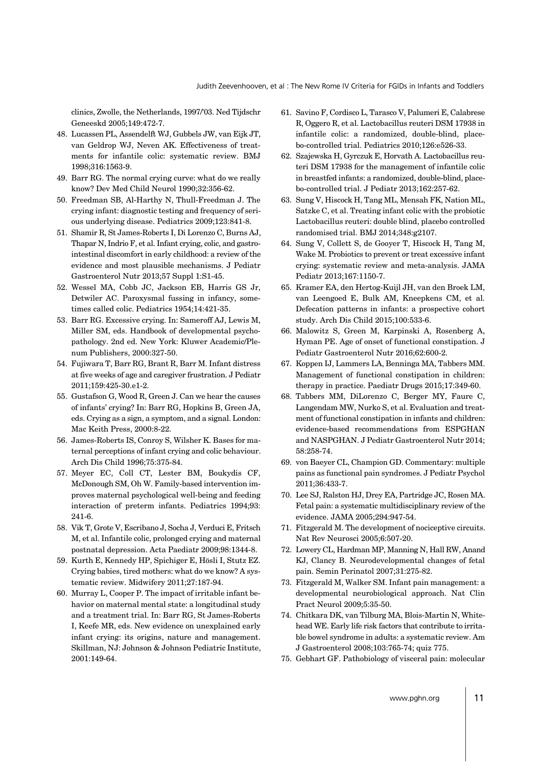clinics, Zwolle, the Netherlands, 1997/'03. Ned Tijdschr Geneeskd 2005;149:472-7.

- 48. Lucassen PL, Assendelft WJ, Gubbels JW, van Eijk JT, van Geldrop WJ, Neven AK. Effectiveness of treatments for infantile colic: systematic review. BMJ 1998;316:1563-9.
- 49. Barr RG. The normal crying curve: what do we really know? Dev Med Child Neurol 1990;32:356-62.
- 50. Freedman SB, Al-Harthy N, Thull-Freedman J. The crying infant: diagnostic testing and frequency of serious underlying disease. Pediatrics 2009;123:841-8.
- 51. Shamir R, St James-Roberts I, Di Lorenzo C, Burns AJ, Thapar N, Indrio F, et al. Infant crying, colic, and gastrointestinal discomfort in early childhood: a review of the evidence and most plausible mechanisms. J Pediatr Gastroenterol Nutr 2013;57 Suppl 1:S1-45.
- 52. Wessel MA, Cobb JC, Jackson EB, Harris GS Jr, Detwiler AC. Paroxysmal fussing in infancy, sometimes called colic. Pediatrics 1954;14:421-35.
- 53. Barr RG. Excessive crying. In: Sameroff AJ, Lewis M, Miller SM, eds. Handbook of developmental psychopathology. 2nd ed. New York: Kluwer Academic/Plenum Publishers, 2000:327-50.
- 54. Fujiwara T, Barr RG, Brant R, Barr M. Infant distress at five weeks of age and caregiver frustration. J Pediatr 2011;159:425-30.e1-2.
- 55. Gustafson G, Wood R, Green J. Can we hear the causes of infants' crying? In: Barr RG, Hopkins B, Green JA, eds. Crying as a sign, a symptom, and a signal. London: Mac Keith Press, 2000:8-22.
- 56. James-Roberts IS, Conroy S, Wilsher K. Bases for maternal perceptions of infant crying and colic behaviour. Arch Dis Child 1996;75:375-84.
- 57. Meyer EC, Coll CT, Lester BM, Boukydis CF, McDonough SM, Oh W. Family-based intervention improves maternal psychological well-being and feeding interaction of preterm infants. Pediatrics 1994;93: 241-6.
- 58. Vik T, Grote V, Escribano J, Socha J, Verduci E, Fritsch M, et al. Infantile colic, prolonged crying and maternal postnatal depression. Acta Paediatr 2009;98:1344-8.
- 59. Kurth E, Kennedy HP, Spichiger E, Hösli I, Stutz EZ. Crying babies, tired mothers: what do we know? A systematic review. Midwifery 2011;27:187-94.
- 60. Murray L, Cooper P. The impact of irritable infant behavior on maternal mental state: a longitudinal study and a treatment trial. In: Barr RG, St James-Roberts I, Keefe MR, eds. New evidence on unexplained early infant crying: its origins, nature and management. Skillman, NJ: Johnson & Johnson Pediatric Institute, 2001:149-64.
- 61. Savino F, Cordisco L, Tarasco V, Palumeri E, Calabrese R, Oggero R, et al. Lactobacillus reuteri DSM 17938 in infantile colic: a randomized, double-blind, placebo-controlled trial. Pediatrics 2010;126:e526-33.
- 62. Szajewska H, Gyrczuk E, Horvath A. Lactobacillus reuteri DSM 17938 for the management of infantile colic in breastfed infants: a randomized, double-blind, placebo-controlled trial. J Pediatr 2013;162:257-62.
- 63. Sung V, Hiscock H, Tang ML, Mensah FK, Nation ML, Satzke C, et al. Treating infant colic with the probiotic Lactobacillus reuteri: double blind, placebo controlled randomised trial. BMJ 2014;348:g2107.
- 64. Sung V, Collett S, de Gooyer T, Hiscock H, Tang M, Wake M. Probiotics to prevent or treat excessive infant crying: systematic review and meta-analysis. JAMA Pediatr 2013;167:1150-7.
- 65. Kramer EA, den Hertog-Kuijl JH, van den Broek LM, van Leengoed E, Bulk AM, Kneepkens CM, et al. Defecation patterns in infants: a prospective cohort study. Arch Dis Child 2015;100:533-6.
- 66. Malowitz S, Green M, Karpinski A, Rosenberg A, Hyman PE. Age of onset of functional constipation. J Pediatr Gastroenterol Nutr 2016;62:600-2.
- 67. Koppen IJ, Lammers LA, Benninga MA, Tabbers MM. Management of functional constipation in children: therapy in practice. Paediatr Drugs 2015;17:349-60.
- 68. Tabbers MM, DiLorenzo C, Berger MY, Faure C, Langendam MW, Nurko S, et al. Evaluation and treatment of functional constipation in infants and children: evidence-based recommendations from ESPGHAN and NASPGHAN. J Pediatr Gastroenterol Nutr 2014; 58:258-74.
- 69. von Baeyer CL, Champion GD. Commentary: multiple pains as functional pain syndromes. J Pediatr Psychol 2011;36:433-7.
- 70. Lee SJ, Ralston HJ, Drey EA, Partridge JC, Rosen MA. Fetal pain: a systematic multidisciplinary review of the evidence. JAMA 2005;294:947-54.
- 71. Fitzgerald M. The development of nociceptive circuits. Nat Rev Neurosci 2005;6:507-20.
- 72. Lowery CL, Hardman MP, Manning N, Hall RW, Anand KJ, Clancy B. Neurodevelopmental changes of fetal pain. Semin Perinatol 2007;31:275-82.
- 73. Fitzgerald M, Walker SM. Infant pain management: a developmental neurobiological approach. Nat Clin Pract Neurol 2009;5:35-50.
- 74. Chitkara DK, van Tilburg MA, Blois-Martin N, Whitehead WE. Early life risk factors that contribute to irritable bowel syndrome in adults: a systematic review. Am J Gastroenterol 2008;103:765-74; quiz 775.
- 75. Gebhart GF. Pathobiology of visceral pain: molecular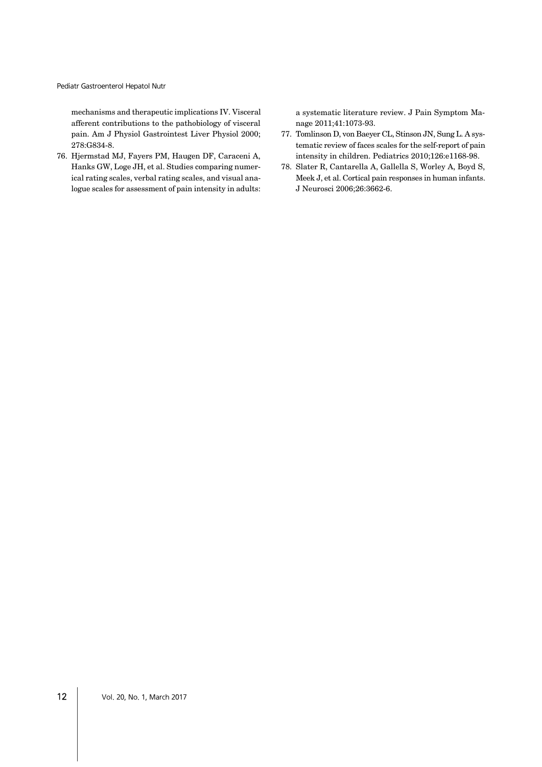Pediatr Gastroenterol Hepatol Nutr

mechanisms and therapeutic implications IV. Visceral afferent contributions to the pathobiology of visceral pain. Am J Physiol Gastrointest Liver Physiol 2000; 278:G834-8.

76. Hjermstad MJ, Fayers PM, Haugen DF, Caraceni A, Hanks GW, Loge JH, et al. Studies comparing numerical rating scales, verbal rating scales, and visual analogue scales for assessment of pain intensity in adults:

a systematic literature review. J Pain Symptom Manage 2011;41:1073-93.

- 77. Tomlinson D, von Baeyer CL, Stinson JN, Sung L. A systematic review of faces scales for the self-report of pain intensity in children. Pediatrics 2010;126:e1168-98.
- 78. Slater R, Cantarella A, Gallella S, Worley A, Boyd S, Meek J, et al. Cortical pain responses in human infants. J Neurosci 2006;26:3662-6.